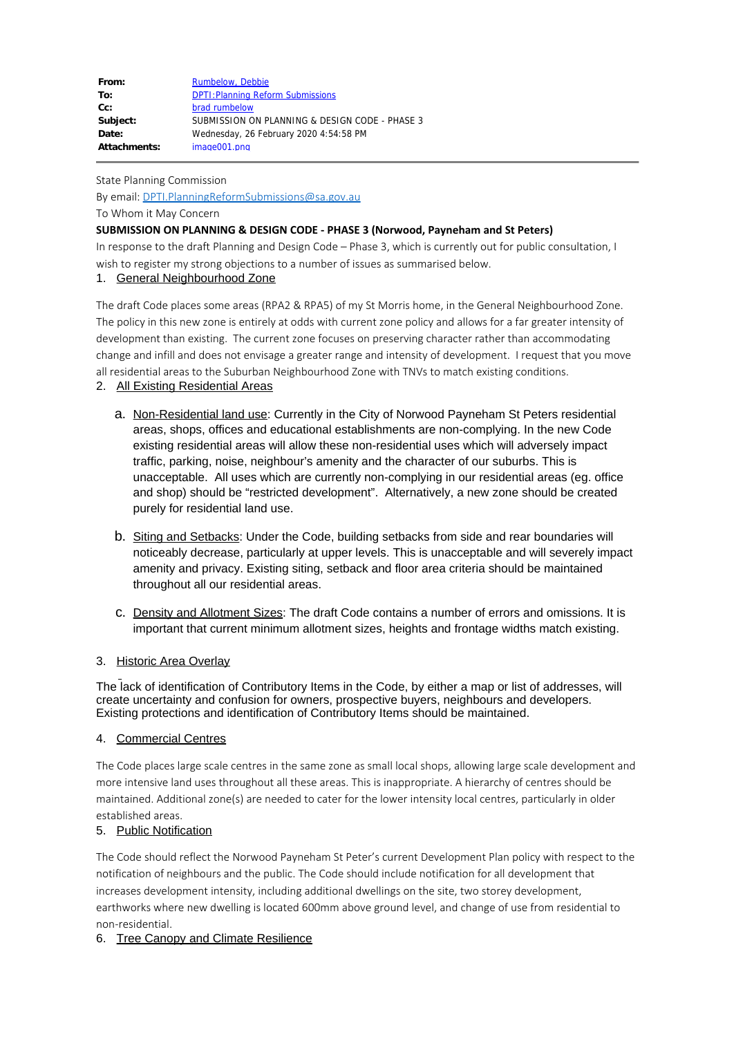| From:        | Rumbelow, Debbie                               |
|--------------|------------------------------------------------|
| To:          | <b>DPTI: Planning Reform Submissions</b>       |
| $Cc$ :       | brad rumbelow                                  |
| Subject:     | SUBMISSION ON PLANNING & DESIGN CODE - PHASE 3 |
| Date:        | Wednesday, 26 February 2020 4:54:58 PM         |
| Attachments: | image001.png                                   |

State Planning Commission

By email: DPTI.PlanningReformSubmissions@sa.gov.au

To Whom it May Concern

### **SUBMISSION ON PLANNING & DESIGN CODE - PHASE 3 (Norwood, Payneham and St Peters)**

In response to the draft Planning and Design Code – Phase 3, which is currently out for public consultation, I wish to register my strong objections to a number of issues as summarised below.

### 1. General Neighbourhood Zone

The draft Code places some areas (RPA2 & RPA5) of my St Morris home, in the General Neighbourhood Zone. The policy in this new zone is entirely at odds with current zone policy and allows for a far greater intensity of development than existing. The current zone focuses on preserving character rather than accommodating change and infill and does not envisage a greater range and intensity of development. I request that you move all residential areas to the Suburban Neighbourhood Zone with TNVs to match existing conditions.

- 2. All Existing Residential Areas
	- a. Non-Residential land use: Currently in the City of Norwood Payneham St Peters residential areas, shops, offices and educational establishments are non-complying. In the new Code existing residential areas will allow these non-residential uses which will adversely impact traffic, parking, noise, neighbour's amenity and the character of our suburbs. This is unacceptable. All uses which are currently non-complying in our residential areas (eg. office and shop) should be "restricted development". Alternatively, a new zone should be created purely for residential land use.
	- b. Siting and Setbacks: Under the Code, building setbacks from side and rear boundaries will noticeably decrease, particularly at upper levels. This is unacceptable and will severely impact amenity and privacy. Existing siting, setback and floor area criteria should be maintained throughout all our residential areas.
	- c. Density and Allotment Sizes: The draft Code contains a number of errors and omissions. It is important that current minimum allotment sizes, heights and frontage widths match existing.

# 3. Historic Area Overlay

The lack of identification of Contributory Items in the Code, by either a map or list of addresses, will create uncertainty and confusion for owners, prospective buyers, neighbours and developers. Existing protections and identification of Contributory Items should be maintained.

#### 4. Commercial Centres

The Code places large scale centres in the same zone as small local shops, allowing large scale development and more intensive land uses throughout all these areas. This is inappropriate. A hierarchy of centres should be maintained. Additional zone(s) are needed to cater for the lower intensity local centres, particularly in older established areas.

# 5. Public Notification

The Code should reflect the Norwood Payneham St Peter's current Development Plan policy with respect to the notification of neighbours and the public. The Code should include notification for all development that increases development intensity, including additional dwellings on the site, two storey development, earthworks where new dwelling is located 600mm above ground level, and change of use from residential to non-residential.

# 6. Tree Canopy and Climate Resilience